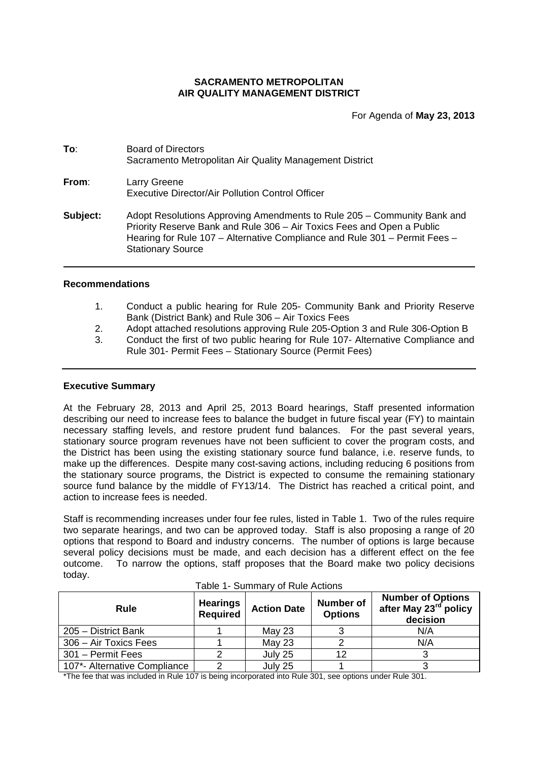# **SACRAMENTO METROPOLITAN AIR QUALITY MANAGEMENT DISTRICT**

For Agenda of **May 23, 2013**

**To**: Board of Directors Sacramento Metropolitan Air Quality Management District **From**: Larry Greene Executive Director/Air Pollution Control Officer

**Subject:** Adopt Resolutions Approving Amendments to Rule 205 – Community Bank and Priority Reserve Bank and Rule 306 – Air Toxics Fees and Open a Public Hearing for Rule 107 – Alternative Compliance and Rule 301 – Permit Fees – Stationary Source

## **Recommendations**

- 1. Conduct a public hearing for Rule 205- Community Bank and Priority Reserve Bank (District Bank) and Rule 306 – Air Toxics Fees
- 2. Adopt attached resolutions approving Rule 205-Option 3 and Rule 306-Option B
- 3. Conduct the first of two public hearing for Rule 107- Alternative Compliance and Rule 301- Permit Fees – Stationary Source (Permit Fees)

## **Executive Summary**

At the February 28, 2013 and April 25, 2013 Board hearings, Staff presented information describing our need to increase fees to balance the budget in future fiscal year (FY) to maintain necessary staffing levels, and restore prudent fund balances. For the past several years, stationary source program revenues have not been sufficient to cover the program costs, and the District has been using the existing stationary source fund balance, i.e. reserve funds, to make up the differences. Despite many cost-saving actions, including reducing 6 positions from the stationary source programs, the District is expected to consume the remaining stationary source fund balance by the middle of FY13/14. The District has reached a critical point, and action to increase fees is needed.

Staff is recommending increases under four fee rules, listed in Table 1. Two of the rules require two separate hearings, and two can be approved today. Staff is also proposing a range of 20 options that respond to Board and industry concerns. The number of options is large because several policy decisions must be made, and each decision has a different effect on the fee outcome. To narrow the options, staff proposes that the Board make two policy decisions today.

| <b>Rule</b>                  | <b>Hearings</b><br><b>Required</b> | <b>Action Date</b> | Number of<br><b>Options</b> | <b>Number of Options</b><br>after May 23 <sup>rd</sup> policy<br>decision |  |  |  |
|------------------------------|------------------------------------|--------------------|-----------------------------|---------------------------------------------------------------------------|--|--|--|
| 205 - District Bank          |                                    | <b>May 23</b>      |                             | N/A                                                                       |  |  |  |
| 306 - Air Toxics Fees        |                                    | May 23             |                             | N/A                                                                       |  |  |  |
| 301 - Permit Fees            |                                    | July 25            | 12                          |                                                                           |  |  |  |
| 107*- Alternative Compliance | ⌒                                  | July 25            |                             |                                                                           |  |  |  |

|  | Table 1- Summary of Rule Actions |  |  |
|--|----------------------------------|--|--|
|--|----------------------------------|--|--|

\*The fee that was included in Rule 107 is being incorporated into Rule 301, see options under Rule 301.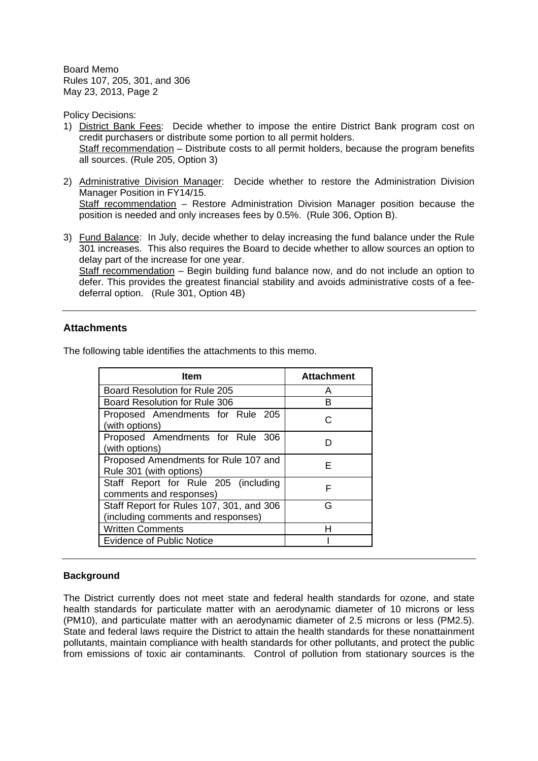Policy Decisions:

- 1) District Bank Fees: Decide whether to impose the entire District Bank program cost on credit purchasers or distribute some portion to all permit holders. Staff recommendation – Distribute costs to all permit holders, because the program benefits all sources. (Rule 205, Option 3)
- 2) Administrative Division Manager: Decide whether to restore the Administration Division Manager Position in FY14/15. Staff recommendation – Restore Administration Division Manager position because the position is needed and only increases fees by 0.5%. (Rule 306, Option B).
- 3) Fund Balance: In July, decide whether to delay increasing the fund balance under the Rule 301 increases. This also requires the Board to decide whether to allow sources an option to delay part of the increase for one year.

Staff recommendation – Begin building fund balance now, and do not include an option to defer. This provides the greatest financial stability and avoids administrative costs of a feedeferral option. (Rule 301, Option 4B)

# **Attachments**

The following table identifies the attachments to this memo.

| ltem                                                                           | <b>Attachment</b> |
|--------------------------------------------------------------------------------|-------------------|
| Board Resolution for Rule 205                                                  | А                 |
| Board Resolution for Rule 306                                                  | в                 |
| Proposed Amendments for Rule 205<br>(with options)                             |                   |
| Proposed Amendments for Rule 306<br>(with options)                             |                   |
| Proposed Amendments for Rule 107 and<br>Rule 301 (with options)                | F                 |
| Staff Report for Rule 205 (including<br>comments and responses)                | F                 |
| Staff Report for Rules 107, 301, and 306<br>(including comments and responses) | G                 |
| <b>Written Comments</b>                                                        | н                 |
| <b>Evidence of Public Notice</b>                                               |                   |

## **Background**

The District currently does not meet state and federal health standards for ozone, and state health standards for particulate matter with an aerodynamic diameter of 10 microns or less (PM10), and particulate matter with an aerodynamic diameter of 2.5 microns or less (PM2.5). State and federal laws require the District to attain the health standards for these nonattainment pollutants, maintain compliance with health standards for other pollutants, and protect the public from emissions of toxic air contaminants. Control of pollution from stationary sources is the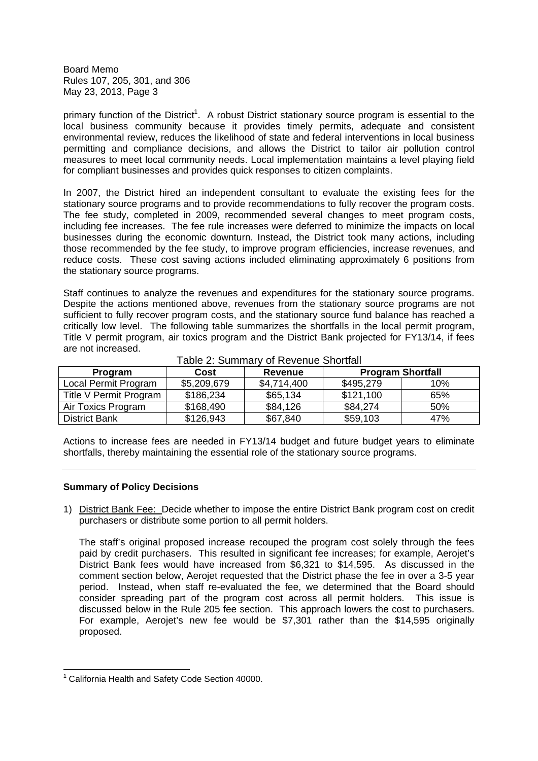primary function of the District<sup>1</sup>. A robust District stationary source program is essential to the local business community because it provides timely permits, adequate and consistent environmental review, reduces the likelihood of state and federal interventions in local business permitting and compliance decisions, and allows the District to tailor air pollution control measures to meet local community needs. Local implementation maintains a level playing field for compliant businesses and provides quick responses to citizen complaints.

In 2007, the District hired an independent consultant to evaluate the existing fees for the stationary source programs and to provide recommendations to fully recover the program costs. The fee study, completed in 2009, recommended several changes to meet program costs, including fee increases. The fee rule increases were deferred to minimize the impacts on local businesses during the economic downturn. Instead, the District took many actions, including those recommended by the fee study, to improve program efficiencies, increase revenues, and reduce costs. These cost saving actions included eliminating approximately 6 positions from the stationary source programs.

Staff continues to analyze the revenues and expenditures for the stationary source programs. Despite the actions mentioned above, revenues from the stationary source programs are not sufficient to fully recover program costs, and the stationary source fund balance has reached a critically low level. The following table summarizes the shortfalls in the local permit program, Title V permit program, air toxics program and the District Bank projected for FY13/14, if fees are not increased.

| Program                | Cost        | Revenue     | <b>Program Shortfall</b> |     |  |  |  |  |  |  |
|------------------------|-------------|-------------|--------------------------|-----|--|--|--|--|--|--|
| Local Permit Program   | \$5,209,679 | \$4,714,400 | \$495,279                | 10% |  |  |  |  |  |  |
| Title V Permit Program | \$186,234   | \$65,134    | \$121,100                | 65% |  |  |  |  |  |  |
| Air Toxics Program     | \$168,490   | \$84,126    | \$84,274                 | 50% |  |  |  |  |  |  |
| <b>District Bank</b>   | \$126,943   | \$67,840    | \$59,103                 | 47% |  |  |  |  |  |  |

Table 2: Summary of Revenue Shortfall

Actions to increase fees are needed in FY13/14 budget and future budget years to eliminate shortfalls, thereby maintaining the essential role of the stationary source programs.

## **Summary of Policy Decisions**

1) District Bank Fee: Decide whether to impose the entire District Bank program cost on credit purchasers or distribute some portion to all permit holders.

The staff's original proposed increase recouped the program cost solely through the fees paid by credit purchasers. This resulted in significant fee increases; for example, Aerojet's District Bank fees would have increased from \$6,321 to \$14,595. As discussed in the comment section below, Aerojet requested that the District phase the fee in over a 3-5 year period. Instead, when staff re-evaluated the fee, we determined that the Board should consider spreading part of the program cost across all permit holders. This issue is discussed below in the Rule 205 fee section. This approach lowers the cost to purchasers. For example, Aerojet's new fee would be \$7,301 rather than the \$14,595 originally proposed.

<sup>&</sup>lt;sup>1</sup> California Health and Safety Code Section 40000.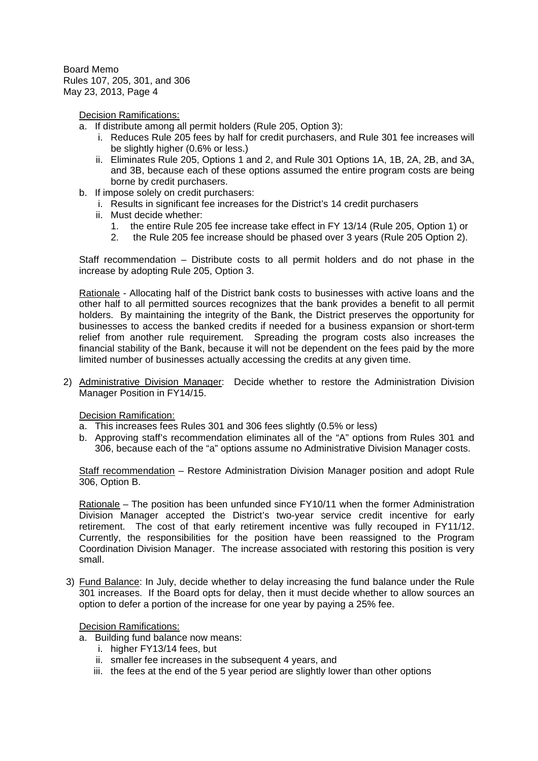Decision Ramifications:

- a. If distribute among all permit holders (Rule 205, Option 3):
	- i. Reduces Rule 205 fees by half for credit purchasers, and Rule 301 fee increases will be slightly higher (0.6% or less.)
	- ii. Eliminates Rule 205, Options 1 and 2, and Rule 301 Options 1A, 1B, 2A, 2B, and 3A, and 3B, because each of these options assumed the entire program costs are being borne by credit purchasers.
- b. If impose solely on credit purchasers:
	- i. Results in significant fee increases for the District's 14 credit purchasers
	- ii. Must decide whether:
		- 1. the entire Rule 205 fee increase take effect in FY 13/14 (Rule 205, Option 1) or
		- 2. the Rule 205 fee increase should be phased over 3 years (Rule 205 Option 2).

Staff recommendation – Distribute costs to all permit holders and do not phase in the increase by adopting Rule 205, Option 3.

Rationale - Allocating half of the District bank costs to businesses with active loans and the other half to all permitted sources recognizes that the bank provides a benefit to all permit holders. By maintaining the integrity of the Bank, the District preserves the opportunity for businesses to access the banked credits if needed for a business expansion or short-term relief from another rule requirement. Spreading the program costs also increases the financial stability of the Bank, because it will not be dependent on the fees paid by the more limited number of businesses actually accessing the credits at any given time.

2) Administrative Division Manager: Decide whether to restore the Administration Division Manager Position in FY14/15.

Decision Ramification:

- a. This increases fees Rules 301 and 306 fees slightly (0.5% or less)
- b. Approving staff's recommendation eliminates all of the "A" options from Rules 301 and 306, because each of the "a" options assume no Administrative Division Manager costs.

Staff recommendation – Restore Administration Division Manager position and adopt Rule 306, Option B.

Rationale – The position has been unfunded since FY10/11 when the former Administration Division Manager accepted the District's two-year service credit incentive for early retirement. The cost of that early retirement incentive was fully recouped in FY11/12. Currently, the responsibilities for the position have been reassigned to the Program Coordination Division Manager. The increase associated with restoring this position is very small.

3) Fund Balance: In July, decide whether to delay increasing the fund balance under the Rule 301 increases. If the Board opts for delay, then it must decide whether to allow sources an option to defer a portion of the increase for one year by paying a 25% fee.

## Decision Ramifications:

- a. Building fund balance now means:
	- i. higher FY13/14 fees, but
	- ii. smaller fee increases in the subsequent 4 years, and
	- iii. the fees at the end of the 5 year period are slightly lower than other options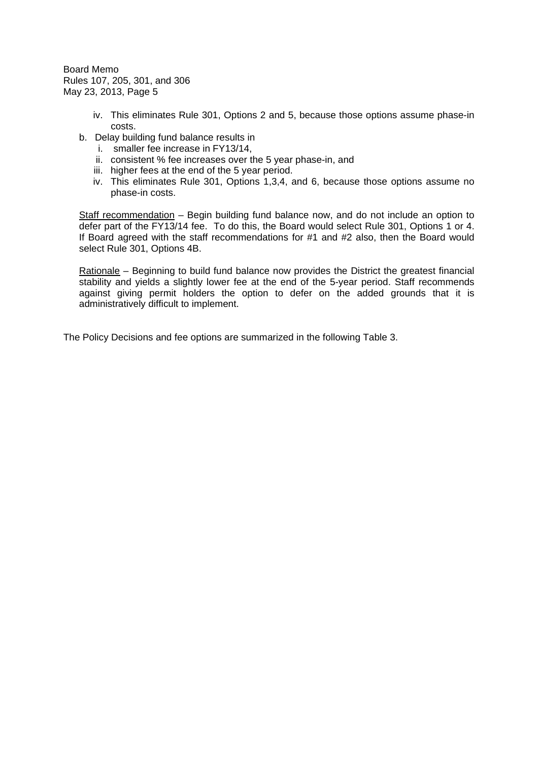- iv. This eliminates Rule 301, Options 2 and 5, because those options assume phase-in costs.
- b. Delay building fund balance results in
	- i. smaller fee increase in FY13/14,
	- ii. consistent % fee increases over the 5 year phase-in, and
	- iii. higher fees at the end of the 5 year period.
	- iv. This eliminates Rule 301, Options 1,3,4, and 6, because those options assume no phase-in costs.

Staff recommendation – Begin building fund balance now, and do not include an option to defer part of the FY13/14 fee. To do this, the Board would select Rule 301, Options 1 or 4. If Board agreed with the staff recommendations for #1 and #2 also, then the Board would select Rule 301, Options 4B.

Rationale – Beginning to build fund balance now provides the District the greatest financial stability and yields a slightly lower fee at the end of the 5-year period. Staff recommends against giving permit holders the option to defer on the added grounds that it is administratively difficult to implement.

The Policy Decisions and fee options are summarized in the following Table 3.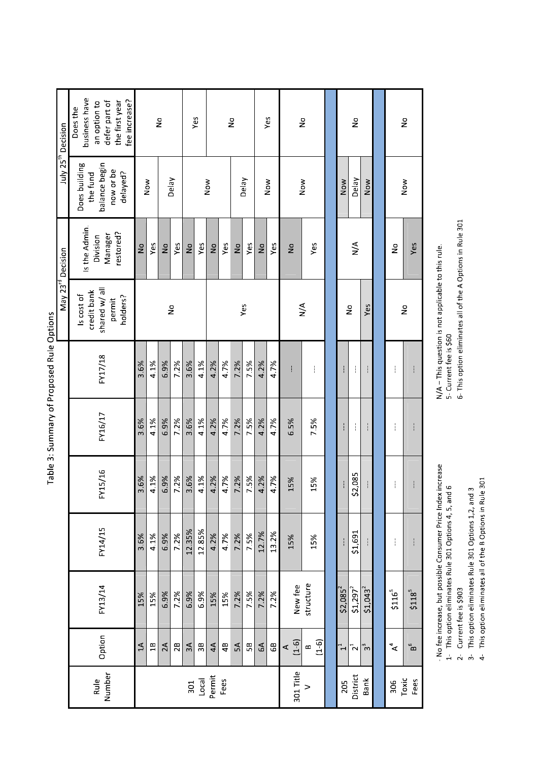| July 25 <sup>th</sup> Decision | business have<br>fee increase?<br>defer part of<br>the first year<br>an option to<br>Does the |              |      | $\frac{1}{2}$ |               |               | Yes    |               |      | $\frac{1}{2}$ |       |               | Yes   |               | $\stackrel{\circ}{\simeq}$ |            | $\frac{1}{2}$         |                       |                    | $\frac{1}{2}$             |
|--------------------------------|-----------------------------------------------------------------------------------------------|--------------|------|---------------|---------------|---------------|--------|---------------|------|---------------|-------|---------------|-------|---------------|----------------------------|------------|-----------------------|-----------------------|--------------------|---------------------------|
|                                | Does building<br>balance begin<br>now or be<br>delayed?<br>the fund                           |              | Now  |               | Delay         |               |        | Now           |      |               | Delay |               | Now   |               | Now                        | Now        | Delay                 | Now                   |                    | Now                       |
| May 23 <sup>rd</sup> Decision  | Is the Admin.<br>restored?<br>Manager<br>Division                                             | $\mathsf{S}$ | Yes  | $\frac{1}{2}$ | Yes           | $\frac{1}{2}$ | Yes    | $\frac{1}{2}$ | Yes  | $\frac{1}{2}$ | Yes   | $\frac{1}{2}$ | Yes   | $\frac{1}{2}$ | Yes                        |            | $\sum_{i=1}^{n}$      |                       | $\frac{1}{2}$      | Yes                       |
|                                | shared w/ all<br>credit bank<br>Is cost of<br>holders?<br>permit                              |              |      |               | $\frac{1}{2}$ |               |        |               |      |               | Yes   |               |       |               | $\sum_{i=1}^{n}$           |            | $\frac{1}{2}$         | Yes                   |                    | $\frac{1}{2}$             |
|                                | FY17/18                                                                                       | 3.6%         | 4.1% | 69%           | 7.2%          | 3.6%          | 4.1%   | 4.2%          | 4.7% | 7.2%          | 75%   | 4.2%          | 4.7%  | ł             | ł                          |            | ł                     | ł                     | I                  |                           |
|                                | FY16/17                                                                                       | 3.6%         | 4.1% | 6.9%          | 7.2%          | 3.6%          | 4.1%   | 4.2%          | 4.7% | 7.2%          | 75%   | 4.2%          | 4.7%  | 6.5%          | 7.5%                       |            | ŧ                     | ł                     | I                  |                           |
|                                | FY15/16                                                                                       | 3.6%         | 4.1% | 6.9%          | 7.2%          | 3.6%          | 4.1%   | 4.2%          | 4.7% | 7.2%          | 7.5%  | 4.2%          | 4.7%  | 15%           | 15%                        |            | \$2,085               | ł                     | I                  |                           |
|                                | FY14/15                                                                                       | 3.6%         | 4.1% | 6.9%          | 7.2%          | 12.35%        | 12.85% | 4.2%          | 4.7% | 7.2%          | 7.5%  | 12.7%         | 13.2% | 15%           | 15%                        |            | \$1,691               | I                     | ł                  |                           |
|                                | FY13/14                                                                                       | 15%          | 15%  | 6.9%          | 7.2%          | 6.9%          | 6.9%   | 15%           | 15%  | 7.2%          | 7.5%  | 7.2%          | 7.2%  | New fee       | structure                  | $$2,085^2$ | $$1,297$ <sup>2</sup> | $$1,043$ <sup>2</sup> | \$116 <sup>5</sup> | $$118^{5}$                |
|                                | Option                                                                                        | $\Delta$     | 18   | 2A            | 2B            | 3A            | 3B     | 4A            | 4B   | $\approx$     | 50    | 6A            | GB    | $(1-6)$<br>∢  | $(1-6)$<br>$\infty$        | $\ddot{ }$ | $\mathbf{z}^1$        | చి                    | $\mathbf{A}^4$     | $\mathbf{B}^{\mathbf{G}}$ |
|                                | Number<br>Rule                                                                                |              |      |               |               | 301           | Local  | Permit        | Fees |               |       |               |       | 301 Title     | $\geq$                     | 205        | District              | Bank                  | 306                | Toxic<br>Fees             |

Table 3: Summary of Proposed Rule Options

--- No fee increase, but possible Consumer Price Index increase<br>1- This option eliminates Rule 301 Options 4, 5, and 6

2- Current fee is \$903

3- This option eliminates Rule 301 Options 1,2, and 3<br>4- This option eliminates all of the B Options in Rule 301

N/A – This question is not applicable to this rule.<br>5- Current fee is \$60<br>6- This option eliminates all of the A Options in Rule 301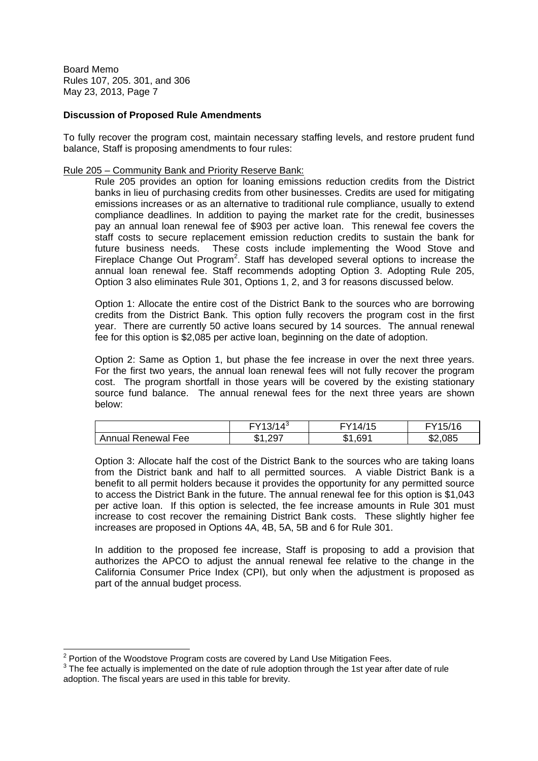## **Discussion of Proposed Rule Amendments**

To fully recover the program cost, maintain necessary staffing levels, and restore prudent fund balance, Staff is proposing amendments to four rules:

### Rule 205 – Community Bank and Priority Reserve Bank:

Rule 205 provides an option for loaning emissions reduction credits from the District banks in lieu of purchasing credits from other businesses. Credits are used for mitigating emissions increases or as an alternative to traditional rule compliance, usually to extend compliance deadlines. In addition to paying the market rate for the credit, businesses pay an annual loan renewal fee of \$903 per active loan. This renewal fee covers the staff costs to secure replacement emission reduction credits to sustain the bank for future business needs. These costs include implementing the Wood Stove and Fireplace Change Out Program<sup>2</sup>. Staff has developed several options to increase the annual loan renewal fee. Staff recommends adopting Option 3. Adopting Rule 205, Option 3 also eliminates Rule 301, Options 1, 2, and 3 for reasons discussed below.

Option 1: Allocate the entire cost of the District Bank to the sources who are borrowing credits from the District Bank. This option fully recovers the program cost in the first year. There are currently 50 active loans secured by 14 sources. The annual renewal fee for this option is \$2,085 per active loan, beginning on the date of adoption.

Option 2: Same as Option 1, but phase the fee increase in over the next three years. For the first two years, the annual loan renewal fees will not fully recover the program cost. The program shortfall in those years will be covered by the existing stationary source fund balance. The annual renewal fees for the next three years are shown below:

|                    | $FY13/14^3$                     | /15<br>4/ | 5/16    |
|--------------------|---------------------------------|-----------|---------|
| Annual Renewal Fee | . 207<br>m A<br>w<br>. <i>.</i> | .691<br>Œ | \$2,085 |

Option 3: Allocate half the cost of the District Bank to the sources who are taking loans from the District bank and half to all permitted sources. A viable District Bank is a benefit to all permit holders because it provides the opportunity for any permitted source to access the District Bank in the future. The annual renewal fee for this option is \$1,043 per active loan. If this option is selected, the fee increase amounts in Rule 301 must increase to cost recover the remaining District Bank costs. These slightly higher fee increases are proposed in Options 4A, 4B, 5A, 5B and 6 for Rule 301.

In addition to the proposed fee increase, Staff is proposing to add a provision that authorizes the APCO to adjust the annual renewal fee relative to the change in the California Consumer Price Index (CPI), but only when the adjustment is proposed as part of the annual budget process.

 $2$  Portion of the Woodstove Program costs are covered by Land Use Mitigation Fees.

 $3$  The fee actually is implemented on the date of rule adoption through the 1st year after date of rule adoption. The fiscal years are used in this table for brevity.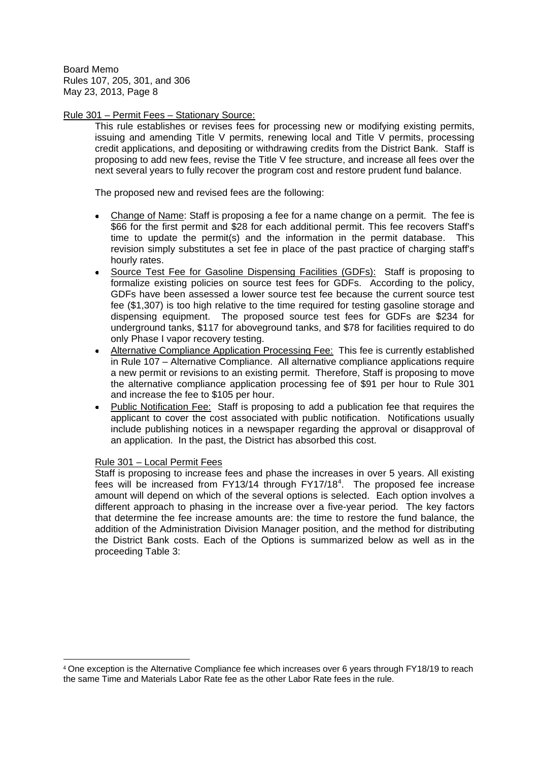## Rule 301 – Permit Fees – Stationary Source:

This rule establishes or revises fees for processing new or modifying existing permits, issuing and amending Title V permits, renewing local and Title V permits, processing credit applications, and depositing or withdrawing credits from the District Bank. Staff is proposing to add new fees, revise the Title V fee structure, and increase all fees over the next several years to fully recover the program cost and restore prudent fund balance.

The proposed new and revised fees are the following:

- Change of Name: Staff is proposing a fee for a name change on a permit. The fee is \$66 for the first permit and \$28 for each additional permit. This fee recovers Staff's time to update the permit(s) and the information in the permit database. This revision simply substitutes a set fee in place of the past practice of charging staff's hourly rates.
- Source Test Fee for Gasoline Dispensing Facilities (GDFs): Staff is proposing to formalize existing policies on source test fees for GDFs. According to the policy, GDFs have been assessed a lower source test fee because the current source test fee (\$1,307) is too high relative to the time required for testing gasoline storage and dispensing equipment. The proposed source test fees for GDFs are \$234 for underground tanks, \$117 for aboveground tanks, and \$78 for facilities required to do only Phase I vapor recovery testing.
- Alternative Compliance Application Processing Fee: This fee is currently established in Rule 107 – Alternative Compliance. All alternative compliance applications require a new permit or revisions to an existing permit. Therefore, Staff is proposing to move the alternative compliance application processing fee of \$91 per hour to Rule 301 and increase the fee to \$105 per hour.
- Public Notification Fee: Staff is proposing to add a publication fee that requires the applicant to cover the cost associated with public notification. Notifications usually include publishing notices in a newspaper regarding the approval or disapproval of an application. In the past, the District has absorbed this cost.

# Rule 301 – Local Permit Fees

Staff is proposing to increase fees and phase the increases in over 5 years. All existing fees will be increased from FY13/14 through FY17/18<sup>4</sup>. The proposed fee increase amount will depend on which of the several options is selected. Each option involves a different approach to phasing in the increase over a five-year period. The key factors that determine the fee increase amounts are: the time to restore the fund balance, the addition of the Administration Division Manager position, and the method for distributing the District Bank costs. Each of the Options is summarized below as well as in the proceeding Table 3:

<sup>4</sup> One exception is the Alternative Compliance fee which increases over 6 years through FY18/19 to reach the same Time and Materials Labor Rate fee as the other Labor Rate fees in the rule.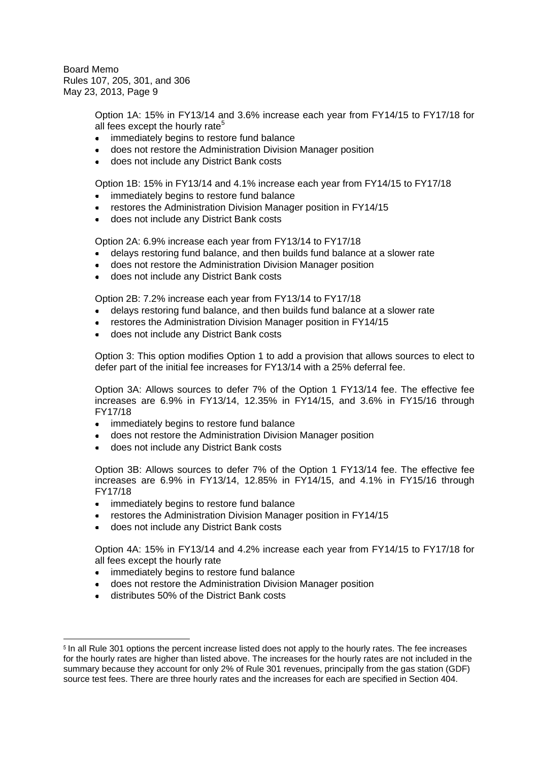> Option 1A: 15% in FY13/14 and 3.6% increase each year from FY14/15 to FY17/18 for all fees except the hourly rate<sup>5</sup>

- immediately begins to restore fund balance
- does not restore the Administration Division Manager position
- does not include any District Bank costs

Option 1B: 15% in FY13/14 and 4.1% increase each year from FY14/15 to FY17/18

- immediately begins to restore fund balance
- restores the Administration Division Manager position in FY14/15
- does not include any District Bank costs

Option 2A: 6.9% increase each year from FY13/14 to FY17/18

- delays restoring fund balance, and then builds fund balance at a slower rate
- does not restore the Administration Division Manager position
- does not include any District Bank costs

Option 2B: 7.2% increase each year from FY13/14 to FY17/18

- delays restoring fund balance, and then builds fund balance at a slower rate
- restores the Administration Division Manager position in FY14/15
- does not include any District Bank costs

Option 3: This option modifies Option 1 to add a provision that allows sources to elect to defer part of the initial fee increases for FY13/14 with a 25% deferral fee.

Option 3A: Allows sources to defer 7% of the Option 1 FY13/14 fee. The effective fee increases are 6.9% in FY13/14, 12.35% in FY14/15, and 3.6% in FY15/16 through FY17/18

- $\bullet$ immediately begins to restore fund balance
- does not restore the Administration Division Manager position
- does not include any District Bank costs  $\bullet$

Option 3B: Allows sources to defer 7% of the Option 1 FY13/14 fee. The effective fee increases are 6.9% in FY13/14, 12.85% in FY14/15, and 4.1% in FY15/16 through FY17/18

- immediately begins to restore fund balance
- restores the Administration Division Manager position in FY14/15
- does not include any District Bank costs

Option 4A: 15% in FY13/14 and 4.2% increase each year from FY14/15 to FY17/18 for all fees except the hourly rate

- immediately begins to restore fund balance  $\bullet$
- does not restore the Administration Division Manager position
- distributes 50% of the District Bank costs

<sup>&</sup>lt;sup>5</sup> In all Rule 301 options the percent increase listed does not apply to the hourly rates. The fee increases for the hourly rates are higher than listed above. The increases for the hourly rates are not included in the summary because they account for only 2% of Rule 301 revenues, principally from the gas station (GDF) source test fees. There are three hourly rates and the increases for each are specified in Section 404.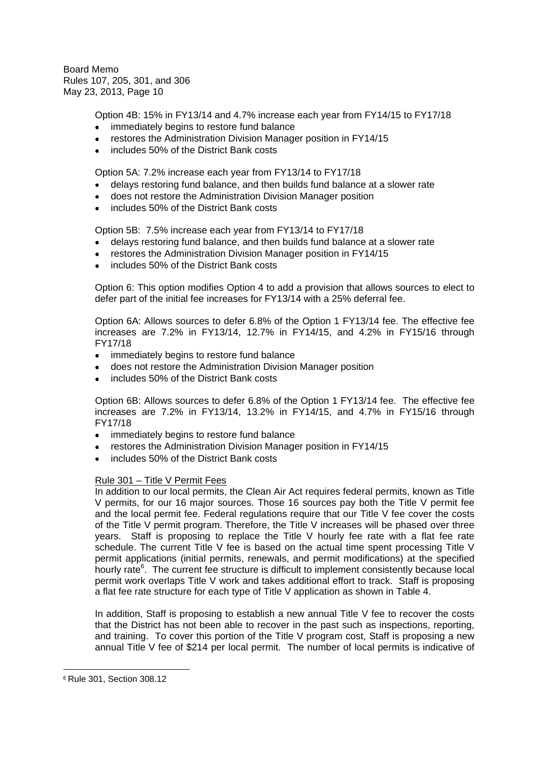Option 4B: 15% in FY13/14 and 4.7% increase each year from FY14/15 to FY17/18

- immediately begins to restore fund balance
- restores the Administration Division Manager position in FY14/15
- includes 50% of the District Bank costs

Option 5A: 7.2% increase each year from FY13/14 to FY17/18

- delays restoring fund balance, and then builds fund balance at a slower rate
- does not restore the Administration Division Manager position  $\blacksquare$
- includes 50% of the District Bank costs

Option 5B: 7.5% increase each year from FY13/14 to FY17/18

- delays restoring fund balance, and then builds fund balance at a slower rate
- restores the Administration Division Manager position in FY14/15
- includes 50% of the District Bank costs

Option 6: This option modifies Option 4 to add a provision that allows sources to elect to defer part of the initial fee increases for FY13/14 with a 25% deferral fee.

Option 6A: Allows sources to defer 6.8% of the Option 1 FY13/14 fee. The effective fee increases are 7.2% in FY13/14, 12.7% in FY14/15, and 4.2% in FY15/16 through FY17/18

- immediately begins to restore fund balance
- does not restore the Administration Division Manager position
- includes 50% of the District Bank costs

Option 6B: Allows sources to defer 6.8% of the Option 1 FY13/14 fee. The effective fee increases are 7.2% in FY13/14, 13.2% in FY14/15, and 4.7% in FY15/16 through FY17/18

- immediately begins to restore fund balance
- restores the Administration Division Manager position in FY14/15
- includes 50% of the District Bank costs

## Rule 301 – Title V Permit Fees

In addition to our local permits, the Clean Air Act requires federal permits, known as Title V permits, for our 16 major sources. Those 16 sources pay both the Title V permit fee and the local permit fee. Federal regulations require that our Title V fee cover the costs of the Title V permit program. Therefore, the Title V increases will be phased over three years. Staff is proposing to replace the Title V hourly fee rate with a flat fee rate schedule. The current Title V fee is based on the actual time spent processing Title V permit applications (initial permits, renewals, and permit modifications) at the specified hourly rate<sup>6</sup>. The current fee structure is difficult to implement consistently because local permit work overlaps Title V work and takes additional effort to track. Staff is proposing a flat fee rate structure for each type of Title V application as shown in Table 4.

In addition, Staff is proposing to establish a new annual Title V fee to recover the costs that the District has not been able to recover in the past such as inspections, reporting, and training. To cover this portion of the Title V program cost, Staff is proposing a new annual Title V fee of \$214 per local permit. The number of local permits is indicative of

<sup>6</sup> Rule 301, Section 308.12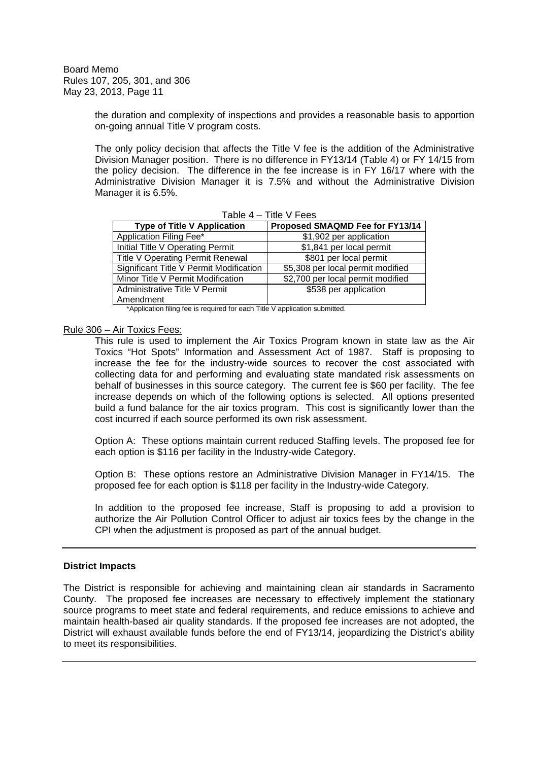> the duration and complexity of inspections and provides a reasonable basis to apportion on-going annual Title V program costs.

> The only policy decision that affects the Title V fee is the addition of the Administrative Division Manager position. There is no difference in FY13/14 (Table 4) or FY 14/15 from the policy decision. The difference in the fee increase is in FY 16/17 where with the Administrative Division Manager it is 7.5% and without the Administrative Division Manager it is 6.5%.

| rable 4 – Title V Fees                  |                                   |  |  |  |  |  |  |  |  |
|-----------------------------------------|-----------------------------------|--|--|--|--|--|--|--|--|
| <b>Type of Title V Application</b>      | Proposed SMAQMD Fee for FY13/14   |  |  |  |  |  |  |  |  |
| Application Filing Fee*                 | \$1,902 per application           |  |  |  |  |  |  |  |  |
| Initial Title V Operating Permit        | \$1,841 per local permit          |  |  |  |  |  |  |  |  |
| <b>Title V Operating Permit Renewal</b> | \$801 per local permit            |  |  |  |  |  |  |  |  |
| Significant Title V Permit Modification | \$5,308 per local permit modified |  |  |  |  |  |  |  |  |
| Minor Title V Permit Modification       | \$2,700 per local permit modified |  |  |  |  |  |  |  |  |
| Administrative Title V Permit           | \$538 per application             |  |  |  |  |  |  |  |  |
| Amendment                               |                                   |  |  |  |  |  |  |  |  |

 $T - L = 4 - T + 16$  V Fees

\*Application filing fee is required for each Title V application submitted.

#### Rule 306 – Air Toxics Fees:

This rule is used to implement the Air Toxics Program known in state law as the Air Toxics "Hot Spots" Information and Assessment Act of 1987. Staff is proposing to increase the fee for the industry-wide sources to recover the cost associated with collecting data for and performing and evaluating state mandated risk assessments on behalf of businesses in this source category. The current fee is \$60 per facility. The fee increase depends on which of the following options is selected. All options presented build a fund balance for the air toxics program. This cost is significantly lower than the cost incurred if each source performed its own risk assessment.

Option A: These options maintain current reduced Staffing levels. The proposed fee for each option is \$116 per facility in the Industry-wide Category.

Option B: These options restore an Administrative Division Manager in FY14/15. The proposed fee for each option is \$118 per facility in the Industry-wide Category.

In addition to the proposed fee increase, Staff is proposing to add a provision to authorize the Air Pollution Control Officer to adjust air toxics fees by the change in the CPI when the adjustment is proposed as part of the annual budget.

#### **District Impacts**

The District is responsible for achieving and maintaining clean air standards in Sacramento County. The proposed fee increases are necessary to effectively implement the stationary source programs to meet state and federal requirements, and reduce emissions to achieve and maintain health-based air quality standards. If the proposed fee increases are not adopted, the District will exhaust available funds before the end of FY13/14, jeopardizing the District's ability to meet its responsibilities.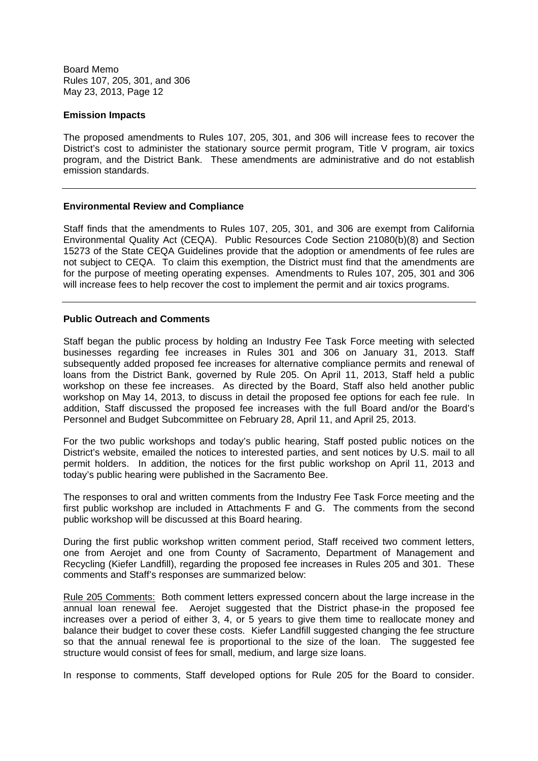### **Emission Impacts**

The proposed amendments to Rules 107, 205, 301, and 306 will increase fees to recover the District's cost to administer the stationary source permit program, Title V program, air toxics program, and the District Bank. These amendments are administrative and do not establish emission standards.

### **Environmental Review and Compliance**

Staff finds that the amendments to Rules 107, 205, 301, and 306 are exempt from California Environmental Quality Act (CEQA). Public Resources Code Section 21080(b)(8) and Section 15273 of the State CEQA Guidelines provide that the adoption or amendments of fee rules are not subject to CEQA. To claim this exemption, the District must find that the amendments are for the purpose of meeting operating expenses. Amendments to Rules 107, 205, 301 and 306 will increase fees to help recover the cost to implement the permit and air toxics programs.

## **Public Outreach and Comments**

Staff began the public process by holding an Industry Fee Task Force meeting with selected businesses regarding fee increases in Rules 301 and 306 on January 31, 2013. Staff subsequently added proposed fee increases for alternative compliance permits and renewal of loans from the District Bank, governed by Rule 205. On April 11, 2013, Staff held a public workshop on these fee increases. As directed by the Board, Staff also held another public workshop on May 14, 2013, to discuss in detail the proposed fee options for each fee rule. In addition, Staff discussed the proposed fee increases with the full Board and/or the Board's Personnel and Budget Subcommittee on February 28, April 11, and April 25, 2013.

For the two public workshops and today's public hearing, Staff posted public notices on the District's website, emailed the notices to interested parties, and sent notices by U.S. mail to all permit holders. In addition, the notices for the first public workshop on April 11, 2013 and today's public hearing were published in the Sacramento Bee.

The responses to oral and written comments from the Industry Fee Task Force meeting and the first public workshop are included in Attachments F and G. The comments from the second public workshop will be discussed at this Board hearing.

During the first public workshop written comment period, Staff received two comment letters, one from Aerojet and one from County of Sacramento, Department of Management and Recycling (Kiefer Landfill), regarding the proposed fee increases in Rules 205 and 301. These comments and Staff's responses are summarized below:

Rule 205 Comments: Both comment letters expressed concern about the large increase in the annual loan renewal fee. Aerojet suggested that the District phase-in the proposed fee increases over a period of either 3, 4, or 5 years to give them time to reallocate money and balance their budget to cover these costs. Kiefer Landfill suggested changing the fee structure so that the annual renewal fee is proportional to the size of the loan. The suggested fee structure would consist of fees for small, medium, and large size loans.

In response to comments, Staff developed options for Rule 205 for the Board to consider.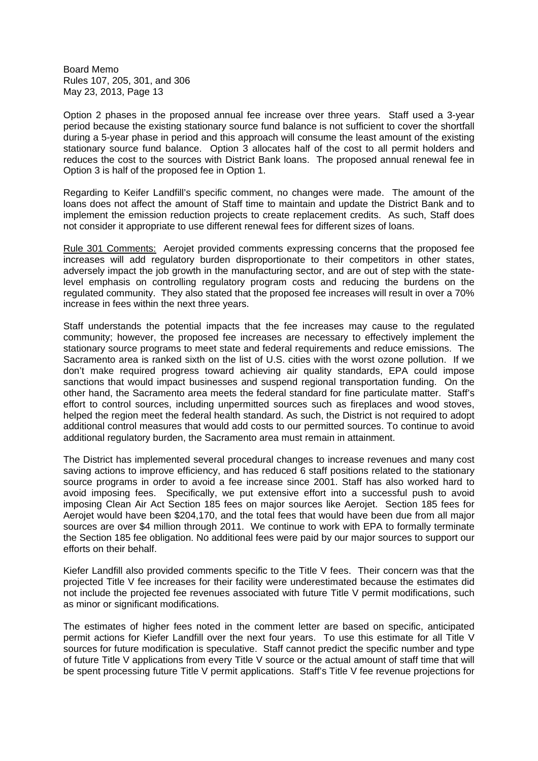Option 2 phases in the proposed annual fee increase over three years. Staff used a 3-year period because the existing stationary source fund balance is not sufficient to cover the shortfall during a 5-year phase in period and this approach will consume the least amount of the existing stationary source fund balance. Option 3 allocates half of the cost to all permit holders and reduces the cost to the sources with District Bank loans. The proposed annual renewal fee in Option 3 is half of the proposed fee in Option 1.

Regarding to Keifer Landfill's specific comment, no changes were made. The amount of the loans does not affect the amount of Staff time to maintain and update the District Bank and to implement the emission reduction projects to create replacement credits. As such, Staff does not consider it appropriate to use different renewal fees for different sizes of loans.

Rule 301 Comments: Aerojet provided comments expressing concerns that the proposed fee increases will add regulatory burden disproportionate to their competitors in other states, adversely impact the job growth in the manufacturing sector, and are out of step with the statelevel emphasis on controlling regulatory program costs and reducing the burdens on the regulated community. They also stated that the proposed fee increases will result in over a 70% increase in fees within the next three years.

Staff understands the potential impacts that the fee increases may cause to the regulated community; however, the proposed fee increases are necessary to effectively implement the stationary source programs to meet state and federal requirements and reduce emissions. The Sacramento area is ranked sixth on the list of U.S. cities with the worst ozone pollution. If we don't make required progress toward achieving air quality standards, EPA could impose sanctions that would impact businesses and suspend regional transportation funding. On the other hand, the Sacramento area meets the federal standard for fine particulate matter. Staff's effort to control sources, including unpermitted sources such as fireplaces and wood stoves, helped the region meet the federal health standard. As such, the District is not required to adopt additional control measures that would add costs to our permitted sources. To continue to avoid additional regulatory burden, the Sacramento area must remain in attainment.

The District has implemented several procedural changes to increase revenues and many cost saving actions to improve efficiency, and has reduced 6 staff positions related to the stationary source programs in order to avoid a fee increase since 2001. Staff has also worked hard to avoid imposing fees. Specifically, we put extensive effort into a successful push to avoid imposing Clean Air Act Section 185 fees on major sources like Aerojet. Section 185 fees for Aerojet would have been \$204,170, and the total fees that would have been due from all major sources are over \$4 million through 2011. We continue to work with EPA to formally terminate the Section 185 fee obligation. No additional fees were paid by our major sources to support our efforts on their behalf.

Kiefer Landfill also provided comments specific to the Title V fees. Their concern was that the projected Title V fee increases for their facility were underestimated because the estimates did not include the projected fee revenues associated with future Title V permit modifications, such as minor or significant modifications.

The estimates of higher fees noted in the comment letter are based on specific, anticipated permit actions for Kiefer Landfill over the next four years. To use this estimate for all Title V sources for future modification is speculative. Staff cannot predict the specific number and type of future Title V applications from every Title V source or the actual amount of staff time that will be spent processing future Title V permit applications. Staff's Title V fee revenue projections for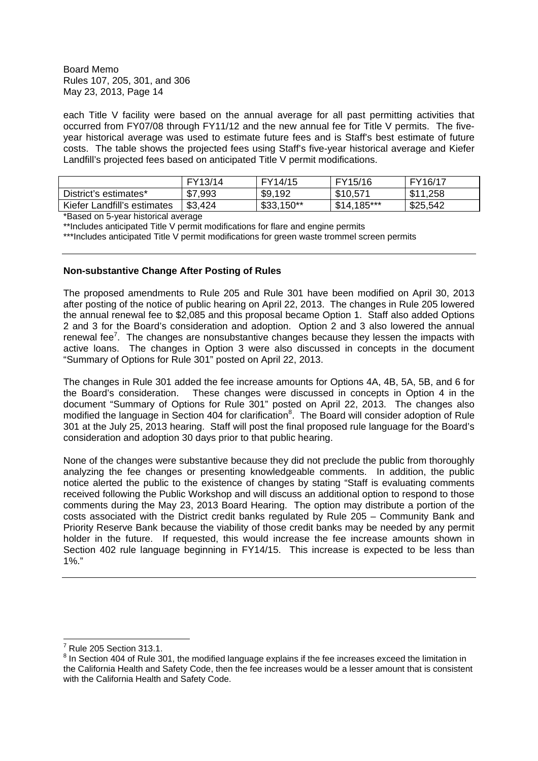each Title V facility were based on the annual average for all past permitting activities that occurred from FY07/08 through FY11/12 and the new annual fee for Title V permits. The fiveyear historical average was used to estimate future fees and is Staff's best estimate of future costs. The table shows the projected fees using Staff's five-year historical average and Kiefer Landfill's projected fees based on anticipated Title V permit modifications.

|                             | FY13/14 | FY14/15     | FY15/16      | FY16/17  |
|-----------------------------|---------|-------------|--------------|----------|
| District's estimates*       | \$7,993 | \$9,192     | \$10,571     | \$11,258 |
| Kiefer Landfill's estimates | \$3,424 | $$33,150**$ | $$14,185***$ | \$25,542 |

\*Based on 5-year historical average

\*\*Includes anticipated Title V permit modifications for flare and engine permits

\*\*\*Includes anticipated Title V permit modifications for green waste trommel screen permits

# **Non-substantive Change After Posting of Rules**

The proposed amendments to Rule 205 and Rule 301 have been modified on April 30, 2013 after posting of the notice of public hearing on April 22, 2013. The changes in Rule 205 lowered the annual renewal fee to \$2,085 and this proposal became Option 1. Staff also added Options 2 and 3 for the Board's consideration and adoption. Option 2 and 3 also lowered the annual renewal fee<sup>7</sup>. The changes are nonsubstantive changes because they lessen the impacts with active loans. The changes in Option 3 were also discussed in concepts in the document "Summary of Options for Rule 301" posted on April 22, 2013.

The changes in Rule 301 added the fee increase amounts for Options 4A, 4B, 5A, 5B, and 6 for the Board's consideration. These changes were discussed in concepts in Option 4 in the document "Summary of Options for Rule 301" posted on April 22, 2013. The changes also modified the language in Section 404 for clarification<sup>8</sup>. The Board will consider adoption of Rule 301 at the July 25, 2013 hearing. Staff will post the final proposed rule language for the Board's consideration and adoption 30 days prior to that public hearing.

None of the changes were substantive because they did not preclude the public from thoroughly analyzing the fee changes or presenting knowledgeable comments. In addition, the public notice alerted the public to the existence of changes by stating "Staff is evaluating comments received following the Public Workshop and will discuss an additional option to respond to those comments during the May 23, 2013 Board Hearing. The option may distribute a portion of the costs associated with the District credit banks regulated by Rule 205 – Community Bank and Priority Reserve Bank because the viability of those credit banks may be needed by any permit holder in the future. If requested, this would increase the fee increase amounts shown in Section 402 rule language beginning in FY14/15. This increase is expected to be less than 1%."

<sup>7</sup> Rule 205 Section 313.1.

 $^8$  In Section 404 of Rule 301, the modified language explains if the fee increases exceed the limitation in the California Health and Safety Code, then the fee increases would be a lesser amount that is consistent with the California Health and Safety Code.